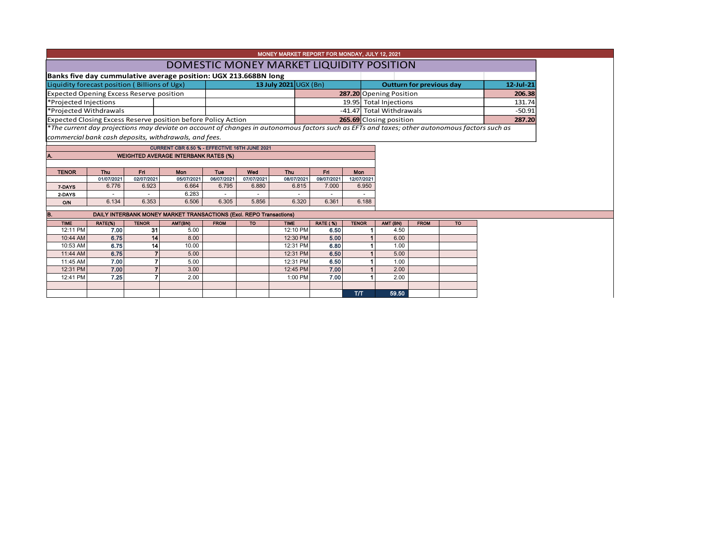|                                                 |                        |              |                                                                                                                                               |             |            | MONEY MARKET REPORT FOR MONDAY, JULY 12, 2021 |                 |              |                                          |             |    |           |
|-------------------------------------------------|------------------------|--------------|-----------------------------------------------------------------------------------------------------------------------------------------------|-------------|------------|-----------------------------------------------|-----------------|--------------|------------------------------------------|-------------|----|-----------|
|                                                 |                        |              |                                                                                                                                               |             |            |                                               |                 |              | DOMESTIC MONEY MARKET LIQUIDITY POSITION |             |    |           |
|                                                 |                        |              | Banks five day cummulative average position: UGX 213.668BN long                                                                               |             |            |                                               |                 |              |                                          |             |    |           |
| Liquidity forecast position (Billions of Ugx)   |                        |              |                                                                                                                                               |             |            | 13 July 2021 UGX (Bn)                         |                 |              | <b>Outturn for previous day</b>          |             |    | 12-Jul-21 |
| <b>Expected Opening Excess Reserve position</b> |                        |              |                                                                                                                                               |             |            |                                               |                 |              | 287.20 Opening Position                  |             |    | 206.38    |
| *Projected Injections                           |                        |              |                                                                                                                                               |             |            |                                               |                 |              | 19.95 Total Injections                   |             |    | 131.74    |
|                                                 | *Projected Withdrawals |              |                                                                                                                                               |             |            |                                               |                 |              | -41.47 Total Withdrawals                 |             |    | $-50.91$  |
|                                                 |                        |              | Expected Closing Excess Reserve position before Policy Action                                                                                 |             |            |                                               |                 |              | 265.69 Closing position                  |             |    | 287.20    |
|                                                 |                        |              | *The current day projections may deviate on account of changes in autonomous factors such as EFTs and taxes; other autonomous factors such as |             |            |                                               |                 |              |                                          |             |    |           |
|                                                 |                        |              | commercial bank cash deposits, withdrawals, and fees.                                                                                         |             |            |                                               |                 |              |                                          |             |    |           |
|                                                 |                        |              | CURRENT CBR 6.50 % - EFFECTIVE 16TH JUNE 2021                                                                                                 |             |            |                                               |                 |              |                                          |             |    |           |
|                                                 |                        |              | <b>WEIGHTED AVERAGE INTERBANK RATES (%)</b>                                                                                                   |             |            |                                               |                 |              |                                          |             |    |           |
|                                                 |                        |              |                                                                                                                                               |             |            |                                               |                 |              |                                          |             |    |           |
| <b>TENOR</b>                                    | <b>Thu</b>             | Fri          | <b>Mon</b>                                                                                                                                    | Tue         | Wed        | <b>Thu</b>                                    | <b>Fri</b>      | <b>Mon</b>   |                                          |             |    |           |
|                                                 | 01/07/2021             | 02/07/2021   | 05/07/2021                                                                                                                                    | 06/07/2021  | 07/07/2021 | 08/07/2021                                    | 09/07/2021      | 12/07/2021   |                                          |             |    |           |
| 7-DAYS                                          | 6.776                  | 6.923        | 6.664                                                                                                                                         | 6.795       | 6.880      | 6.815                                         | 7.000           | 6.950        |                                          |             |    |           |
| 2-DAYS                                          |                        |              | 6.283                                                                                                                                         |             |            |                                               |                 |              |                                          |             |    |           |
| O/N                                             | 6.134                  | 6.353        | 6.506                                                                                                                                         | 6.305       | 5.856      | 6.320                                         | 6.361           | 6.188        |                                          |             |    |           |
| B.                                              |                        |              | DAILY INTERBANK MONEY MARKET TRANSACTIONS (Excl. REPO Transactions)                                                                           |             |            |                                               |                 |              |                                          |             |    |           |
| <b>TIME</b>                                     | RATE(%)                | <b>TENOR</b> | AMT(BN)                                                                                                                                       | <b>FROM</b> | <b>TO</b>  | <b>TIME</b>                                   | <b>RATE (%)</b> | <b>TENOR</b> | AMT (BN)                                 | <b>FROM</b> | TO |           |
| 12:11 PM                                        | 7.00                   | 31           | 5.00                                                                                                                                          |             |            | 12:10 PM                                      | 6.50            |              | 4.50                                     |             |    |           |
| 10:44 AM                                        | 6.75                   | 14           | 8.00                                                                                                                                          |             |            | 12:30 PM                                      | 5.00            |              | 6.00                                     |             |    |           |
| 10:53 AM                                        | 6.75                   | 14           | 10.00                                                                                                                                         |             |            | 12:31 PM                                      | 6.80            |              | 1.00                                     |             |    |           |
| 11:44 AM                                        | 6.75                   |              | 5.00                                                                                                                                          |             |            | 12:31 PM                                      | 6.50            |              | 5.00                                     |             |    |           |
| 11:45 AM                                        | 7.00                   |              | 5.00                                                                                                                                          |             |            | 12:31 PM                                      | 6.50            |              | 1.00                                     |             |    |           |
| 12:31 PM                                        | 7.00                   |              | 3.00                                                                                                                                          |             |            | 12:45 PM                                      | 7.00            |              | 2.00                                     |             |    |           |
| 12:41 PM                                        | 7.25                   |              | 2.00                                                                                                                                          |             |            | 1:00 PM                                       | 7.00            |              | 2.00                                     |             |    |           |

T/T 59.50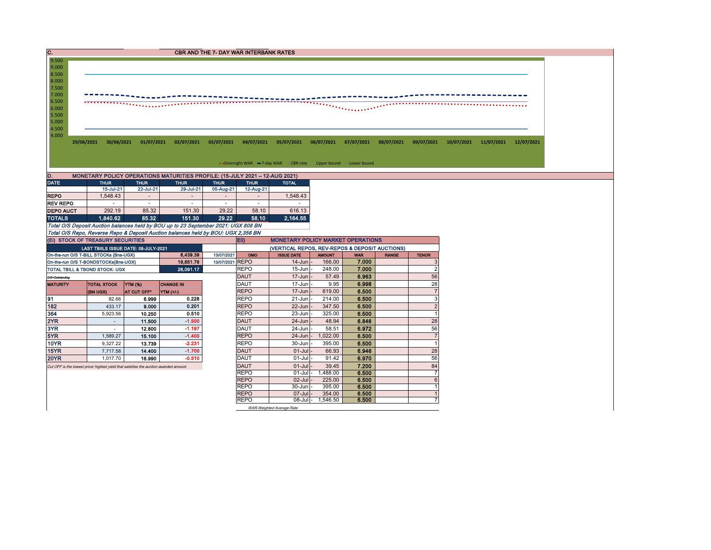| C.<br>9.500                                                           |                                                                                       |                     |                                                                                    | <b>CBR AND THE 7- DAY WAR INTERBANK RATES</b> |                            |                                                                        |                         |                     |              |                      |                                  |  |  |
|-----------------------------------------------------------------------|---------------------------------------------------------------------------------------|---------------------|------------------------------------------------------------------------------------|-----------------------------------------------|----------------------------|------------------------------------------------------------------------|-------------------------|---------------------|--------------|----------------------|----------------------------------|--|--|
| 9.000                                                                 |                                                                                       |                     |                                                                                    |                                               |                            |                                                                        |                         |                     |              |                      |                                  |  |  |
| 8.500                                                                 |                                                                                       |                     |                                                                                    |                                               |                            |                                                                        |                         |                     |              |                      |                                  |  |  |
| 8.000                                                                 |                                                                                       |                     |                                                                                    |                                               |                            |                                                                        |                         |                     |              |                      |                                  |  |  |
| 7.500<br>7.000                                                        |                                                                                       |                     |                                                                                    |                                               |                            |                                                                        |                         |                     |              |                      |                                  |  |  |
| 6.500                                                                 |                                                                                       |                     |                                                                                    |                                               |                            |                                                                        |                         |                     |              |                      |                                  |  |  |
| 6.000                                                                 |                                                                                       |                     |                                                                                    |                                               |                            |                                                                        |                         |                     |              |                      |                                  |  |  |
| 5.500                                                                 |                                                                                       |                     |                                                                                    |                                               |                            |                                                                        |                         |                     |              |                      |                                  |  |  |
| 5.000<br>4.500                                                        |                                                                                       |                     |                                                                                    |                                               |                            |                                                                        |                         |                     |              |                      |                                  |  |  |
| 4.000                                                                 |                                                                                       |                     |                                                                                    |                                               |                            |                                                                        |                         |                     |              |                      |                                  |  |  |
|                                                                       |                                                                                       |                     | 29/06/2021 30/06/2021 01/07/2021 02/07/2021 03/07/2021                             |                                               |                            | 04/07/2021  05/07/2021  06/07/2021  07/07/2021  08/07/2021  09/07/2021 |                         |                     |              |                      | 10/07/2021 11/07/2021 12/07/2021 |  |  |
|                                                                       |                                                                                       |                     |                                                                                    |                                               |                            |                                                                        |                         |                     |              |                      |                                  |  |  |
|                                                                       |                                                                                       |                     |                                                                                    |                                               |                            | • Overnight WAR -7-day WAR -CBR rate -Upper bound -Lower bound         |                         |                     |              |                      |                                  |  |  |
|                                                                       |                                                                                       |                     |                                                                                    |                                               |                            |                                                                        |                         |                     |              |                      |                                  |  |  |
| D.                                                                    |                                                                                       |                     | MONETARY POLICY OPERATIONS MATURITIES PROFILE: (15-JULY 2021 - 12-AUG 2021)        |                                               |                            |                                                                        |                         |                     |              |                      |                                  |  |  |
| <b>DATE</b>                                                           | <b>THUR</b>                                                                           | <b>THUR</b>         | <b>THUR</b>                                                                        | <b>THUR</b>                                   | <b>THUR</b>                | <b>TOTAL</b>                                                           |                         |                     |              |                      |                                  |  |  |
| <b>REPO</b>                                                           | 15-Jul-21<br>1.548.43                                                                 | 22-Jul-21<br>$\sim$ | 29-Jul-21<br>$\sim$                                                                | 05-Aug-21<br>$\sim$                           | 12-Aug-21<br>$\sim$        | 1,548.43                                                               |                         |                     |              |                      |                                  |  |  |
| <b>REV REPO</b>                                                       |                                                                                       | $\sim$              | $\sim$                                                                             | $\overline{\phantom{a}}$                      | $\sim$                     |                                                                        |                         |                     |              |                      |                                  |  |  |
| <b>DEPO AUCT</b>                                                      | 292.19                                                                                | 85.32               | 151.30                                                                             | 29.22                                         | 58.10                      | 616.13                                                                 |                         |                     |              |                      |                                  |  |  |
| <b>TOTALS</b>                                                         | 1.840.62                                                                              | 85.32               | 151.30                                                                             | 29.22                                         | 58.10                      | 2,164.55                                                               |                         |                     |              |                      |                                  |  |  |
|                                                                       |                                                                                       |                     | Total O/S Deposit Auction balances held by BOU up to 23 September 2021: UGX 808 BN |                                               |                            |                                                                        |                         |                     |              |                      |                                  |  |  |
|                                                                       |                                                                                       |                     | Total O/S Repo, Reverse Repo & Deposit Auction balances held by BOU: UGX 2,356 BN  |                                               |                            |                                                                        |                         |                     |              |                      |                                  |  |  |
|                                                                       | (EI) STOCK OF TREASURY SECURITIES                                                     |                     |                                                                                    |                                               | Eii)                       | <b>MONETARY POLICY MARKET OPERATIONS</b>                               |                         |                     |              |                      |                                  |  |  |
|                                                                       | LAST TBIILS ISSUE DATE: 08-JULY-2021                                                  |                     |                                                                                    |                                               |                            | (VERTICAL REPOS, REV-REPOS & DEPOSIT AUCTIONS)                         |                         |                     |              |                      |                                  |  |  |
|                                                                       | On-the-run O/S T-BILL STOCKs (Bns-UGX)                                                |                     | 6.439.39                                                                           | 13/07/2021<br>13/07/2021 REPO                 | OMO                        | <b>ISSUE DATE</b><br>$14 - Jun$                                        | <b>AMOUNT</b><br>166.00 | <b>WAR</b><br>7.000 | <b>RANGE</b> | <b>TENOR</b>         |                                  |  |  |
|                                                                       | On-the-run O/S T-BONDSTOCKs(Bns-UGX)<br>TOTAL TBILL & TBOND STOCK- UGX                |                     | 19 651 78<br>26.091.17                                                             |                                               | <b>REPO</b>                | 15-Jun                                                                 | 248.00                  | 7.000               |              | 3<br>$\overline{2}$  |                                  |  |  |
| O/S=Outstanding                                                       |                                                                                       |                     |                                                                                    |                                               | <b>DAUT</b>                | $17 - Jun$                                                             | 57.49                   | 6.963               |              | 56                   |                                  |  |  |
| <b>MATURITY</b>                                                       | <b>TOTAL STOCK</b>                                                                    | YTM (%)             | <b>CHANGE IN</b>                                                                   |                                               | <b>DAUT</b>                | 17-Jun                                                                 | 9.95                    | 6.998               |              | 28                   |                                  |  |  |
|                                                                       | (BN UGX)                                                                              | AT CUT OFF*         | <b>YTM (+/-)</b>                                                                   |                                               | <b>REPO</b>                | $17 - Jun$                                                             | 619.00                  | 6.500               |              | $\overline{7}$       |                                  |  |  |
| 91                                                                    | 82.66                                                                                 | 6.999               | 0.228                                                                              |                                               | <b>REPO</b>                | 21-Jun                                                                 | 214.00                  | 6.500               |              | 3                    |                                  |  |  |
| 182                                                                   | 433.17                                                                                | 9.000               | 0.201                                                                              |                                               | <b>REPO</b>                | 22-Jun                                                                 | 347.50                  | 6.500               |              | 2                    |                                  |  |  |
|                                                                       |                                                                                       |                     |                                                                                    |                                               | <b>REPO</b>                |                                                                        | 325.00                  |                     |              |                      |                                  |  |  |
|                                                                       | 5,923.56                                                                              | 10.250              | 0.510                                                                              |                                               |                            | 23-Jun                                                                 |                         | 6.500               |              | $\overline{1}$       |                                  |  |  |
|                                                                       | $\sim$                                                                                | 11.500              | $-1.500$                                                                           |                                               | <b>DAUT</b>                | $24 - Jun$                                                             | 48.94                   | 6.846               |              | 28                   |                                  |  |  |
|                                                                       | $\sim$                                                                                | 12.800              | $-1.197$                                                                           |                                               | DAUT                       | 24-Jun                                                                 | 58.51                   | 6.972               |              | 56                   |                                  |  |  |
|                                                                       | 1,589.27                                                                              | 15.100              | $-1.400$                                                                           |                                               | <b>REPO</b>                | $24 - Jun$                                                             | 1.022.00                | 6.500               |              | $\overline{7}$       |                                  |  |  |
|                                                                       | 9,327.22                                                                              | 13.739              | $-2.231$                                                                           |                                               | <b>REPO</b>                | 30-Jun                                                                 | 395.00                  | 6.500               |              | $\overline{1}$       |                                  |  |  |
|                                                                       | 7,717.58                                                                              | 14.400              | $-1.700$                                                                           |                                               | <b>DAUT</b>                | $01-Jul$                                                               | 66.93                   | 6.946               |              | 28                   |                                  |  |  |
|                                                                       | 1.017.70                                                                              | 16.990              | $-0.510$                                                                           |                                               | DAUT                       | $01 -$ Jul                                                             | 91.42                   | 6.970               |              | 56                   |                                  |  |  |
|                                                                       | Cut OFF is the lowest price/ highest yield that satisfies the auction awarded amount. |                     |                                                                                    |                                               | <b>DAUT</b><br><b>REPO</b> | $01 -$ Jul<br>$01 -$ Jul                                               | 39.45<br>1,488.00       | 7.200<br>6.500      |              | 84<br>$\overline{7}$ |                                  |  |  |
|                                                                       |                                                                                       |                     |                                                                                    |                                               | <b>REPO</b>                | 02-Jul                                                                 | 225.00                  | 6.500               |              | 6                    |                                  |  |  |
| 364<br>2YR<br>3YR<br>5YR<br><b>10YR</b><br><b>15YR</b><br><b>20YR</b> |                                                                                       |                     |                                                                                    |                                               | <b>REPO</b>                | 30-Jun                                                                 | 395.00                  | 6.500               |              |                      |                                  |  |  |
|                                                                       |                                                                                       |                     |                                                                                    |                                               | <b>REPO</b><br><b>REPO</b> | 07-Jul<br>$08$ -Jul $-$                                                | 354.00<br>1,546.50      | 6.500<br>6.500      |              |                      |                                  |  |  |